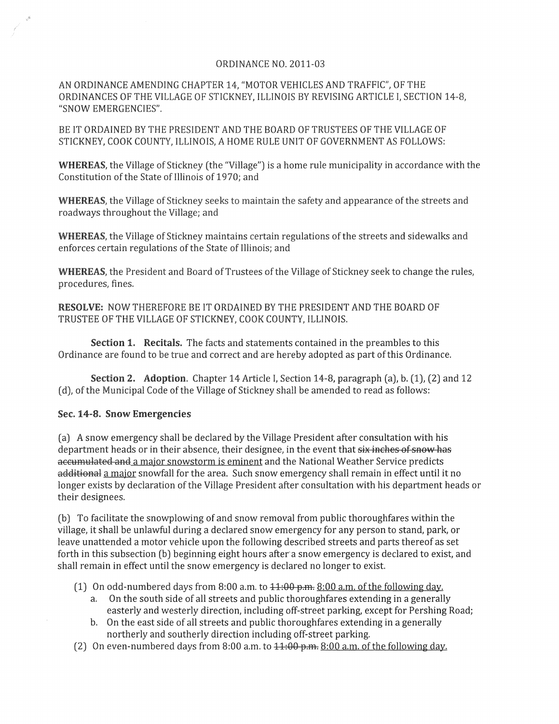## ORDINANCE NO. 2011-03

AN ORDINANCE AMENDING CHAPTER 14, "MOTOR VEHICLES AND TRAFFIC", OF THE ORDINANCES OF THE VILLAGE OF STICKNEY, ILLINOIS BY REVISING ARTICLE I, SECTION 14-8, "SNOW EMERGENCIES".

BE IT ORDAINED BY THE PRESIDENT AND THE BOARD OF TRUSTEES OF THE VILLAGE OF STICKNEY, COOK COUNTY, ILLINOIS, A HOME RULE UNIT OF GOVERNMENT AS FOLLOWS:

WHEREAS, the Village of Stickney (the "Village") is a home rule municipality in accordance with the Constitution of the State of Illinois of 1970; and

WHEREAS, the Village of Stickney seeks to maintain the safety and appearance of the streets and roadways throughout the Village; and

WHEREAS, the Village of Stickney maintains certain regulations of the streets and sidewalks and enforces certain regulations of the State of Illinois; and

WHEREAS, the President and Board of Trustees of the Village of Stickney seek to change the rules, procedures, fines.

RESOLVE: NOW THEREFORE BE IT ORDAINED BY THE PRESIDENT AND THE BOARD OF TRUSTEE OF THE VILLAGE OF STICKNEY, COOK COUNTY, ILLINOIS.

Section 1. Recitals. The facts and statements contained in the preambles to this Ordinance are found to be true and correct and are hereby adopted as part of this Ordinance.

Section 2. Adoption. Chapter 14 Article I, Section 14-8, paragraph (a), b. (1), (2) and 12 (d), of the Municipal Code of the Village of Stickney shall be amended to read as follows:

## Sec. 14-8. Snow Emergencies

(a) A snow emergency shall be declared by the Village President after consultation with his department heads or in their absence, their designee, in the event that six inches of snow has accumulated and a major snowstorm is eminent and the National Weather Service predicts additional a major snowfall for the area. Such snow emergency shall remain in effect until it no longer exists by declaration of the Village President after consultation with his department heads or their designees.

(b) To facilitate the snowplowing of and snow removal from public thoroughfares within the village, it shall be unlawful during a declared snow emergency for any person to stand, park, or leave unattended a motor vehicle upon the following described streets and parts thereof as set forth in this subsection (b) beginning eight hours after'a snow emergency is declared to exist, and shall remain in effect until the snow emergency is declared no longer to exist.

- (1) On odd-numbered days from 8:00 a.m. to  $11:00 \text{ p.m.}$  8:00 a.m. of the following day.
	- a. On the south side of all streets and public thoroughfares extending in a generally easterly and westerly direction, including off-street parking, except for Pershing Road;
	- b. On the east side of all streets and public thoroughfares extending in a generally northerly and southerly direction induding off-street parking.
- (2) On even-numbered days from 8:00 a.m. to 11:00 p.m. 8:00 a.m. of the following day.